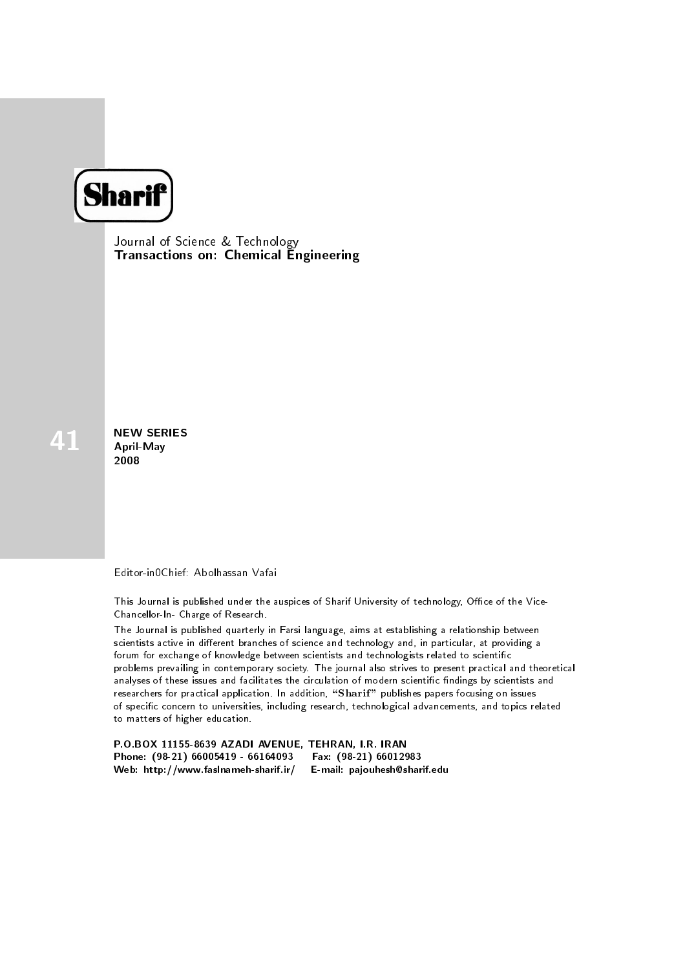

Journal of Science & Technology Transactions on: Chemical Engineering

NEW SERIES<br>April-May 2008

Editor-in0Chief: Abolhassan Vafai

This Journal is published under the auspices of Sharif University of technology, Office of the Vice-Chancellor-In- Charge of Research.

The Journal is published quarterly in Farsi language, aims at establishing a relationship between scientists active in different branches of science and technology and, in particular, at providing a forum for exchange of knowledge between scientists and technologists related to scientific problems prevailing in contemporary society. The journal also strives to present practical and theoretical analyses of these issues and facilitates the circulation of modern scientific findings by scientists and researchers for practical application. In addition, "Sharif" publishes papers focusing on issues of specific concern to universities, including research, technological advancements, and topics related to matters of higher education.

P.O.BOX 11155-8639 AZADI AVENUE, TEHRAN, I.R. IRAN Phone: (98-21) 66005419 - 66164093 Fax: (98-21) 66012983<br>Web: http://www.faslnameh-sharif.ir/ E-mail: pajouhesh@sharif.edu Web: http://www.faslnameh-sharif.ir/